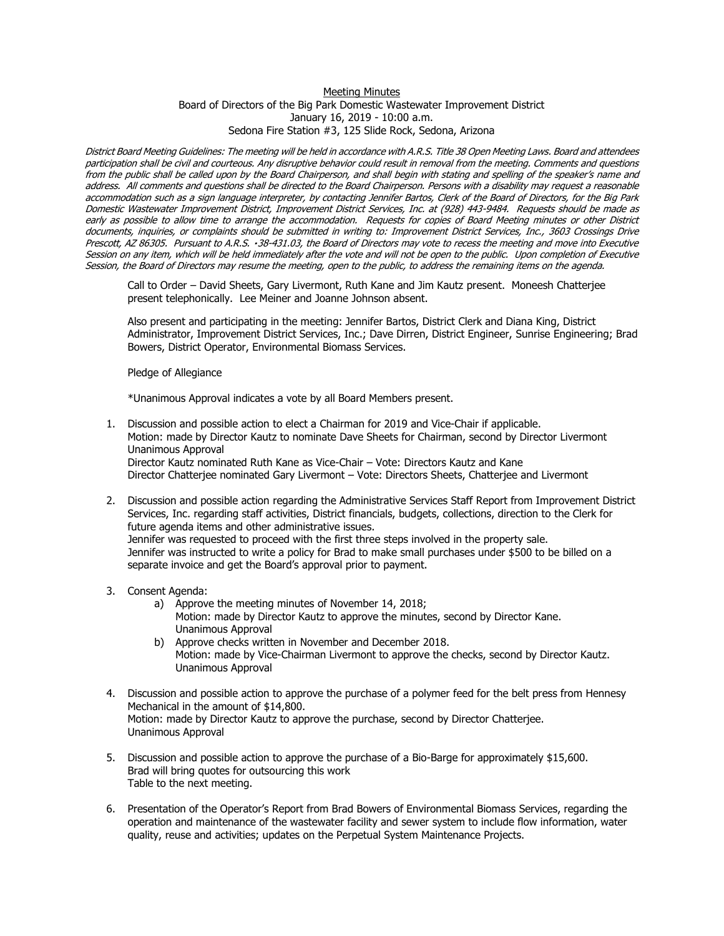## Meeting Minutes Board of Directors of the Big Park Domestic Wastewater Improvement District January 16, 2019 - 10:00 a.m. Sedona Fire Station #3, 125 Slide Rock, Sedona, Arizona

District Board Meeting Guidelines: The meeting will be held in accordance with A.R.S. Title 38 Open Meeting Laws. Board and attendees participation shall be civil and courteous. Any disruptive behavior could result in removal from the meeting. Comments and questions from the public shall be called upon by the Board Chairperson, and shall begin with stating and spelling of the speaker's name and address. All comments and questions shall be directed to the Board Chairperson. Persons with a disability may request a reasonable accommodation such as a sign language interpreter, by contacting Jennifer Bartos, Clerk of the Board of Directors, for the Big Park Domestic Wastewater Improvement District, Improvement District Services, Inc. at (928) 443-9484. Requests should be made as early as possible to allow time to arrange the accommodation. Requests for copies of Board Meeting minutes or other District documents, inquiries, or complaints should be submitted in writing to: Improvement District Services, Inc., 3603 Crossings Drive Prescott, AZ 86305. Pursuant to A.R.S. 38-431.03, the Board of Directors may vote to recess the meeting and move into Executive Session on any item, which will be held immediately after the vote and will not be open to the public. Upon completion of Executive Session, the Board of Directors may resume the meeting, open to the public, to address the remaining items on the agenda.

Call to Order – David Sheets, Gary Livermont, Ruth Kane and Jim Kautz present. Moneesh Chatterjee present telephonically. Lee Meiner and Joanne Johnson absent.

Also present and participating in the meeting: Jennifer Bartos, District Clerk and Diana King, District Administrator, Improvement District Services, Inc.; Dave Dirren, District Engineer, Sunrise Engineering; Brad Bowers, District Operator, Environmental Biomass Services.

Pledge of Allegiance

\*Unanimous Approval indicates a vote by all Board Members present.

- 1. Discussion and possible action to elect a Chairman for 2019 and Vice-Chair if applicable. Motion: made by Director Kautz to nominate Dave Sheets for Chairman, second by Director Livermont Unanimous Approval Director Kautz nominated Ruth Kane as Vice-Chair – Vote: Directors Kautz and Kane Director Chatterjee nominated Gary Livermont – Vote: Directors Sheets, Chatterjee and Livermont
- 2. Discussion and possible action regarding the Administrative Services Staff Report from Improvement District Services, Inc. regarding staff activities, District financials, budgets, collections, direction to the Clerk for future agenda items and other administrative issues. Jennifer was requested to proceed with the first three steps involved in the property sale. Jennifer was instructed to write a policy for Brad to make small purchases under \$500 to be billed on a separate invoice and get the Board's approval prior to payment.
- 3. Consent Agenda:
	- a) Approve the meeting minutes of November 14, 2018; Motion: made by Director Kautz to approve the minutes, second by Director Kane. Unanimous Approval
	- b) Approve checks written in November and December 2018. Motion: made by Vice-Chairman Livermont to approve the checks, second by Director Kautz. Unanimous Approval
- 4. Discussion and possible action to approve the purchase of a polymer feed for the belt press from Hennesy Mechanical in the amount of \$14,800. Motion: made by Director Kautz to approve the purchase, second by Director Chatterjee. Unanimous Approval
- 5. Discussion and possible action to approve the purchase of a Bio-Barge for approximately \$15,600. Brad will bring quotes for outsourcing this work Table to the next meeting.
- 6. Presentation of the Operator's Report from Brad Bowers of Environmental Biomass Services, regarding the operation and maintenance of the wastewater facility and sewer system to include flow information, water quality, reuse and activities; updates on the Perpetual System Maintenance Projects.